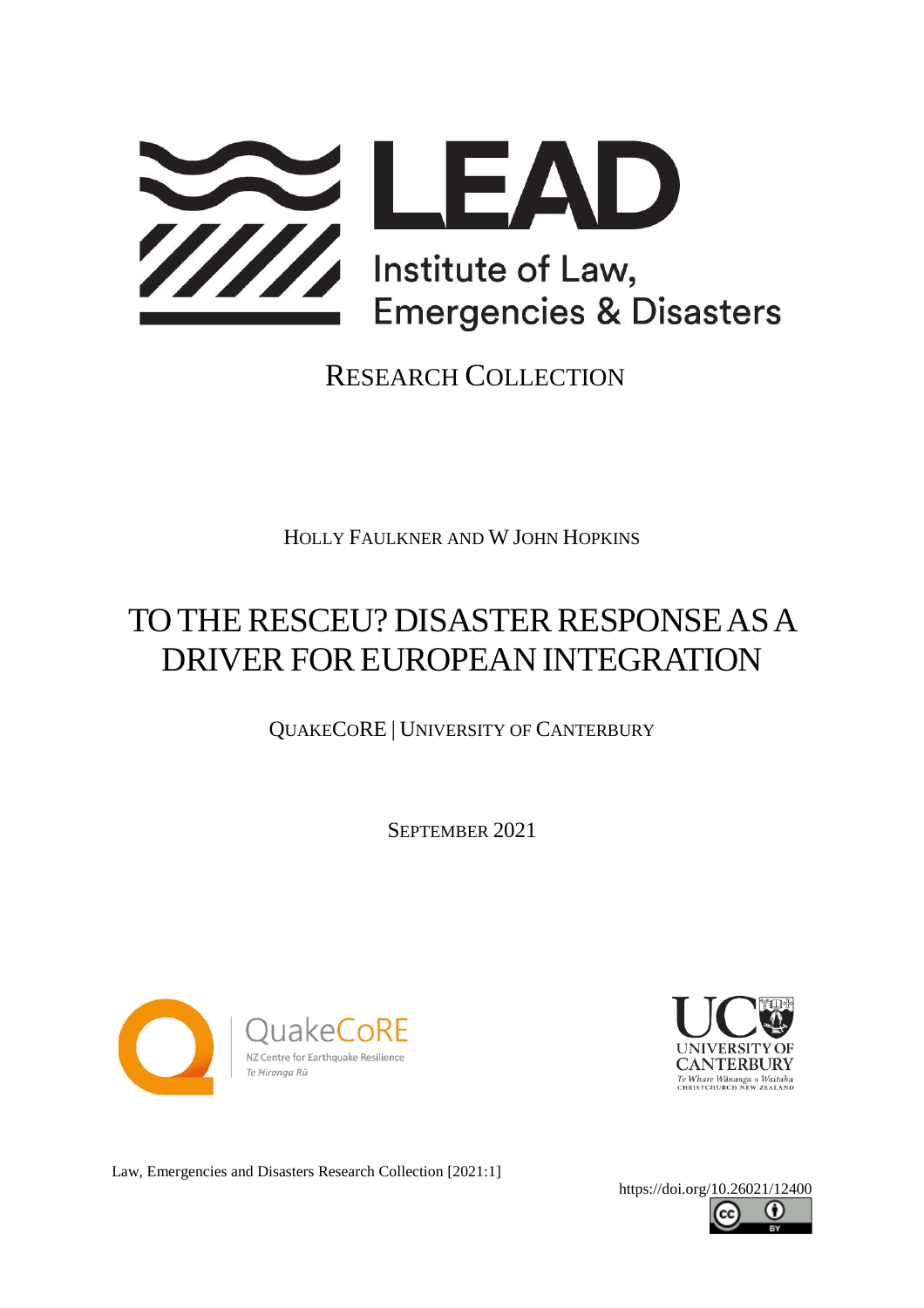

### RESEARCH COLLECTION

HOLLY FAULKNER AND W JOHN HOPKINS

# TO THE RESCEU? DISASTER RESPONSE AS A DRIVER FOR EUROPEAN INTEGRATION

QUAKECORE | UNIVERSITY OF CANTERBURY

SEPTEMBER 2021





Law, Emergencies and Disasters Research Collection [2021:1]

<https://doi.org/10.26021/12400>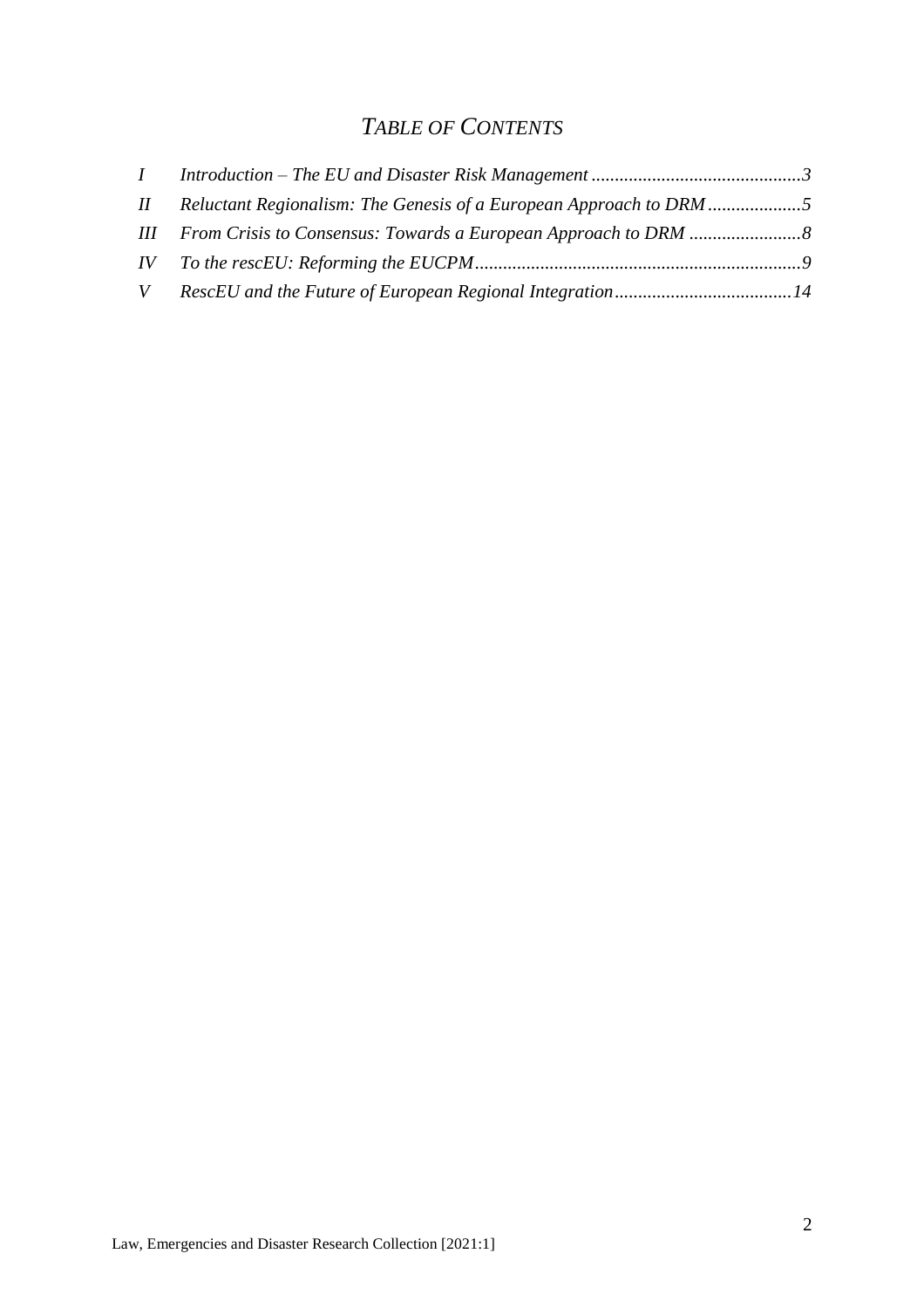### *TABLE OF CONTENTS*

|  | II Reluctant Regionalism: The Genesis of a European Approach to DRM |  |
|--|---------------------------------------------------------------------|--|
|  |                                                                     |  |
|  |                                                                     |  |
|  |                                                                     |  |
|  |                                                                     |  |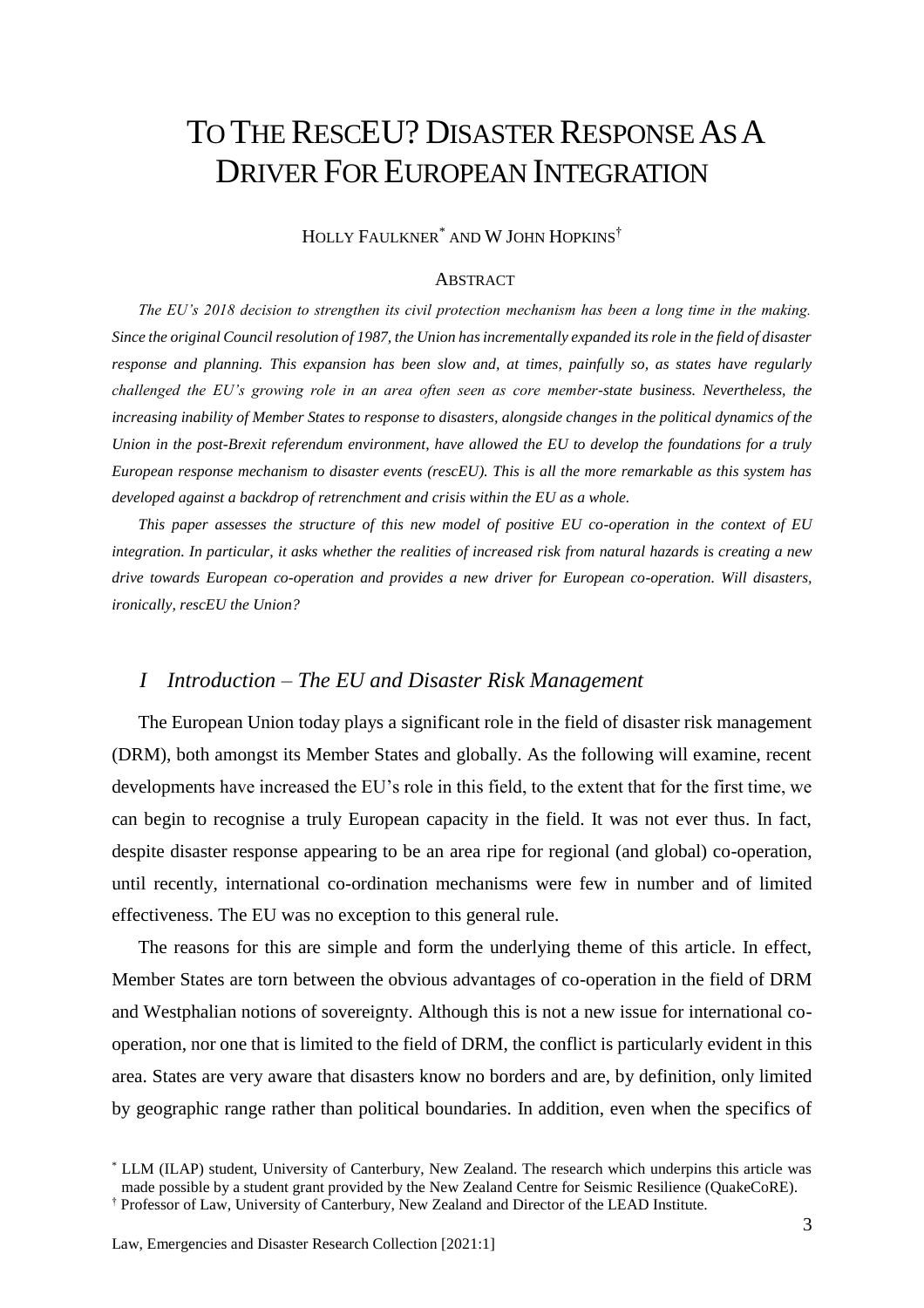## TO THE RESCEU? DISASTER RESPONSE AS A DRIVER FOR EUROPEAN INTEGRATION

HOLLY FAULKNER\* AND W JOHN HOPKINS†

#### **ABSTRACT**

*The EU's 2018 decision to strengthen its civil protection mechanism has been a long time in the making. Since the original Council resolution of 1987, the Union has incrementally expanded its role in the field of disaster response and planning. This expansion has been slow and, at times, painfully so, as states have regularly challenged the EU's growing role in an area often seen as core member-state business. Nevertheless, the increasing inability of Member States to response to disasters, alongside changes in the political dynamics of the Union in the post-Brexit referendum environment, have allowed the EU to develop the foundations for a truly European response mechanism to disaster events (rescEU). This is all the more remarkable as this system has developed against a backdrop of retrenchment and crisis within the EU as a whole.*

*This paper assesses the structure of this new model of positive EU co-operation in the context of EU integration. In particular, it asks whether the realities of increased risk from natural hazards is creating a new drive towards European co-operation and provides a new driver for European co-operation. Will disasters, ironically, rescEU the Union?*

#### <span id="page-2-0"></span>*I Introduction – The EU and Disaster Risk Management*

The European Union today plays a significant role in the field of disaster risk management (DRM), both amongst its Member States and globally. As the following will examine, recent developments have increased the EU's role in this field, to the extent that for the first time, we can begin to recognise a truly European capacity in the field. It was not ever thus. In fact, despite disaster response appearing to be an area ripe for regional (and global) co-operation, until recently, international co-ordination mechanisms were few in number and of limited effectiveness. The EU was no exception to this general rule.

The reasons for this are simple and form the underlying theme of this article. In effect, Member States are torn between the obvious advantages of co-operation in the field of DRM and Westphalian notions of sovereignty. Although this is not a new issue for international cooperation, nor one that is limited to the field of DRM, the conflict is particularly evident in this area. States are very aware that disasters know no borders and are, by definition, only limited by geographic range rather than political boundaries. In addition, even when the specifics of

<sup>\*</sup> LLM (ILAP) student, University of Canterbury, New Zealand. The research which underpins this article was made possible by a student grant provided by the New Zealand Centre for Seismic Resilience (QuakeCoRE).

<sup>†</sup> Professor of Law, University of Canterbury, New Zealand and Director of the LEAD Institute.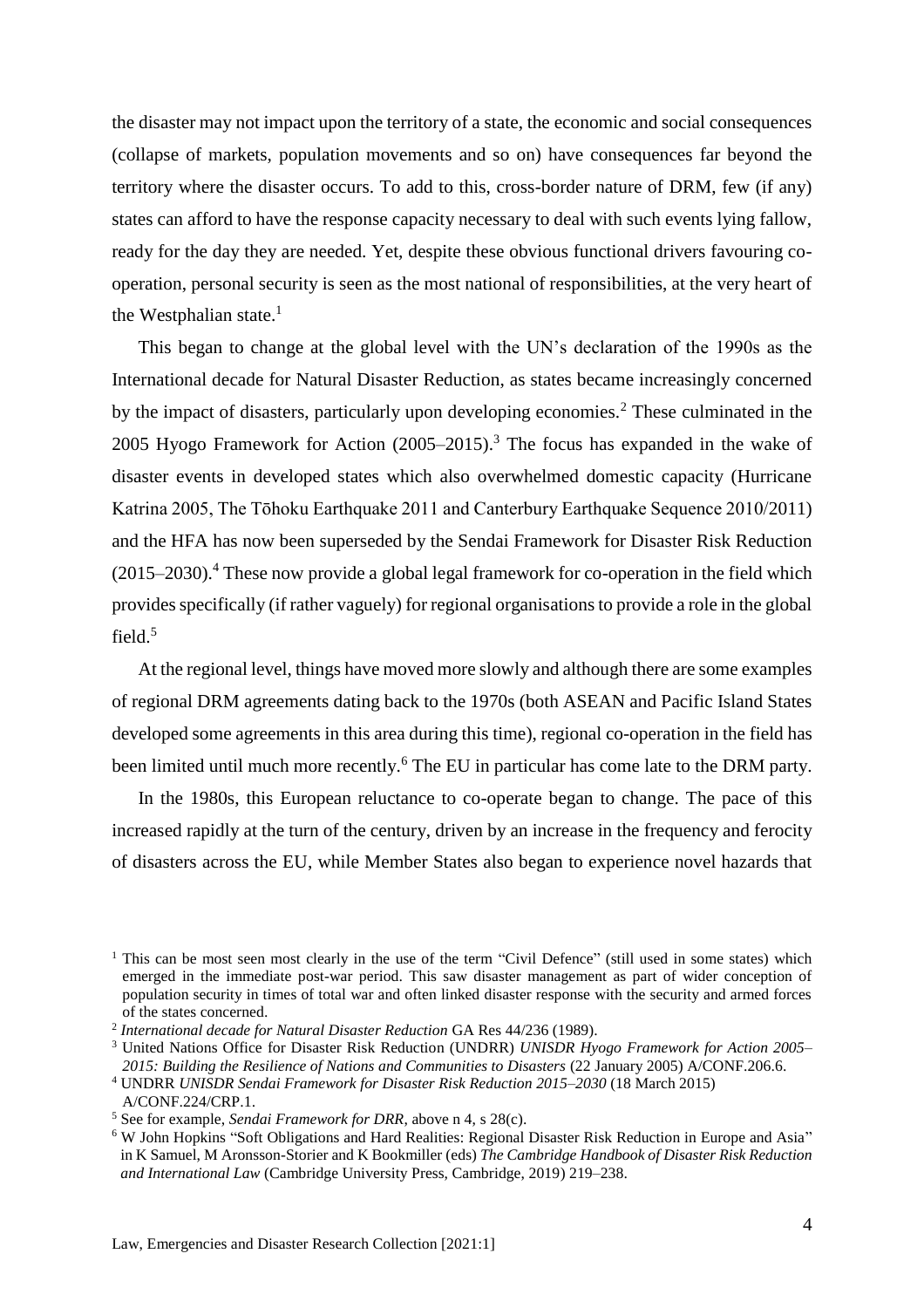the disaster may not impact upon the territory of a state, the economic and social consequences (collapse of markets, population movements and so on) have consequences far beyond the territory where the disaster occurs. To add to this, cross-border nature of DRM, few (if any) states can afford to have the response capacity necessary to deal with such events lying fallow, ready for the day they are needed. Yet, despite these obvious functional drivers favouring cooperation, personal security is seen as the most national of responsibilities, at the very heart of the Westphalian state. $<sup>1</sup>$ </sup>

This began to change at the global level with the UN's declaration of the 1990s as the International decade for Natural Disaster Reduction, as states became increasingly concerned by the impact of disasters, particularly upon developing economies.<sup>2</sup> These culminated in the 2005 Hyogo Framework for Action  $(2005-2015)$ .<sup>3</sup> The focus has expanded in the wake of disaster events in developed states which also overwhelmed domestic capacity (Hurricane Katrina 2005, The Tōhoku Earthquake 2011 and Canterbury Earthquake Sequence 2010/2011) and the HFA has now been superseded by the Sendai Framework for Disaster Risk Reduction  $(2015–2030).$ <sup>4</sup> These now provide a global legal framework for co-operation in the field which provides specifically (if rather vaguely) for regional organisations to provide a role in the global field.<sup>5</sup>

At the regional level, things have moved more slowly and although there are some examples of regional DRM agreements dating back to the 1970s (both ASEAN and Pacific Island States developed some agreements in this area during this time), regional co-operation in the field has been limited until much more recently.<sup>6</sup> The EU in particular has come late to the DRM party.

In the 1980s, this European reluctance to co-operate began to change. The pace of this increased rapidly at the turn of the century, driven by an increase in the frequency and ferocity of disasters across the EU, while Member States also began to experience novel hazards that

<sup>&</sup>lt;sup>1</sup> This can be most seen most clearly in the use of the term "Civil Defence" (still used in some states) which emerged in the immediate post-war period. This saw disaster management as part of wider conception of population security in times of total war and often linked disaster response with the security and armed forces of the states concerned.

<sup>2</sup> *International decade for Natural Disaster Reduction* GA Res 44/236 (1989).

<sup>3</sup> United Nations Office for Disaster Risk Reduction (UNDRR) *UNISDR Hyogo Framework for Action 2005– 2015: Building the Resilience of Nations and Communities to Disasters* (22 January 2005) A/CONF.206.6.

<sup>4</sup> UNDRR *UNISDR Sendai Framework for Disaster Risk Reduction 2015–2030* (18 March 2015) A/CONF.224/CRP.1.

<sup>5</sup> See for example, *Sendai Framework for DRR*, above n 4, s 28(c).

<sup>6</sup> W John Hopkins "Soft Obligations and Hard Realities: Regional Disaster Risk Reduction in Europe and Asia" in K Samuel, M Aronsson-Storier and K Bookmiller (eds) *The Cambridge Handbook of Disaster Risk Reduction and International Law* (Cambridge University Press, Cambridge, 2019) 219–238.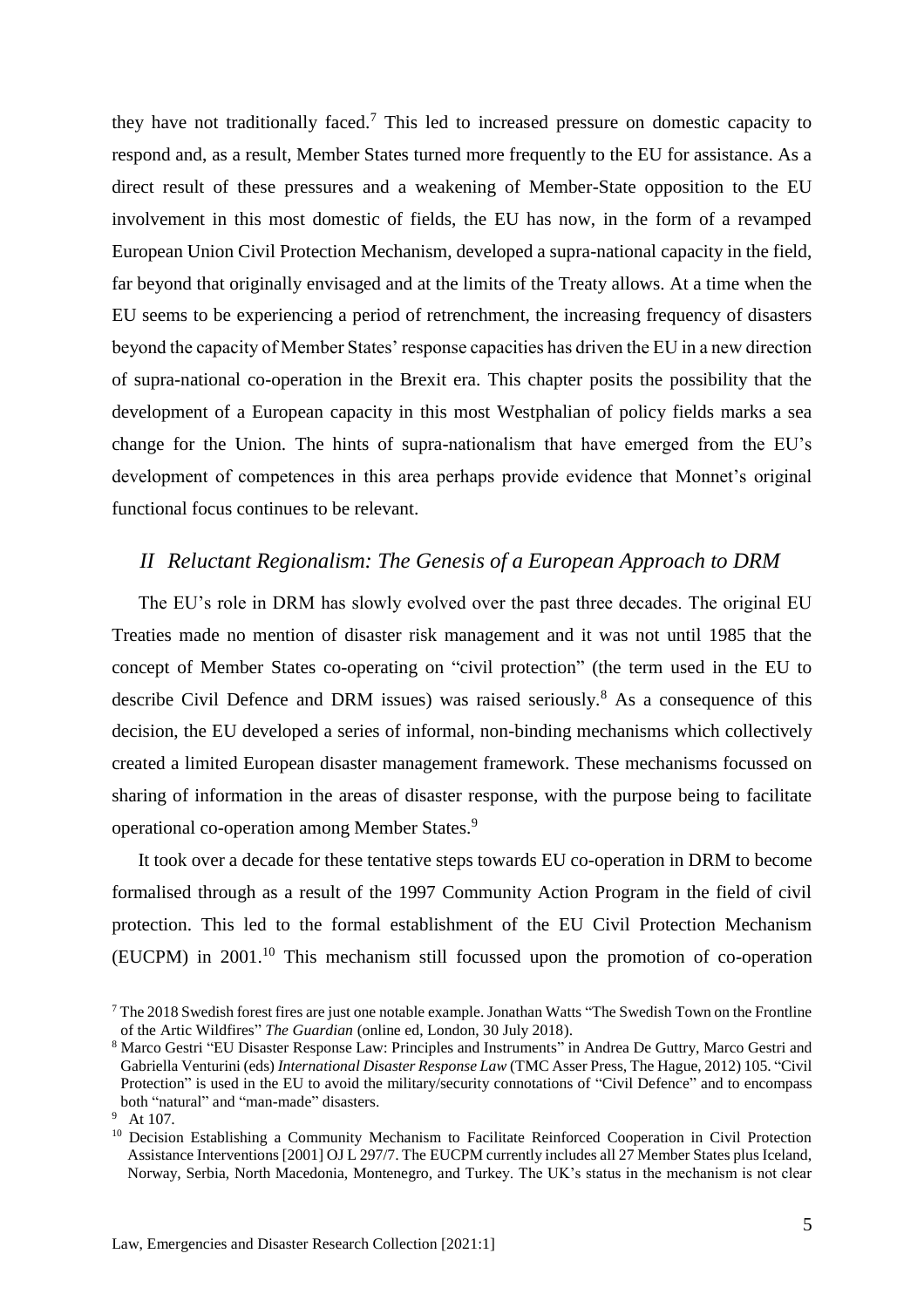they have not traditionally faced.<sup>7</sup> This led to increased pressure on domestic capacity to respond and, as a result, Member States turned more frequently to the EU for assistance. As a direct result of these pressures and a weakening of Member-State opposition to the EU involvement in this most domestic of fields, the EU has now, in the form of a revamped European Union Civil Protection Mechanism, developed a supra-national capacity in the field, far beyond that originally envisaged and at the limits of the Treaty allows. At a time when the EU seems to be experiencing a period of retrenchment, the increasing frequency of disasters beyond the capacity of Member States' response capacities has driven the EU in a new direction of supra-national co-operation in the Brexit era. This chapter posits the possibility that the development of a European capacity in this most Westphalian of policy fields marks a sea change for the Union. The hints of supra-nationalism that have emerged from the EU's development of competences in this area perhaps provide evidence that Monnet's original functional focus continues to be relevant.

#### <span id="page-4-1"></span><span id="page-4-0"></span>*II Reluctant Regionalism: The Genesis of a European Approach to DRM*

The EU's role in DRM has slowly evolved over the past three decades. The original EU Treaties made no mention of disaster risk management and it was not until 1985 that the concept of Member States co-operating on "civil protection" (the term used in the EU to describe Civil Defence and DRM issues) was raised seriously.<sup>8</sup> As a consequence of this decision, the EU developed a series of informal, non-binding mechanisms which collectively created a limited European disaster management framework. These mechanisms focussed on sharing of information in the areas of disaster response, with the purpose being to facilitate operational co-operation among Member States.<sup>9</sup>

It took over a decade for these tentative steps towards EU co-operation in DRM to become formalised through as a result of the 1997 Community Action Program in the field of civil protection. This led to the formal establishment of the EU Civil Protection Mechanism (EUCPM) in 2001.<sup>10</sup> This mechanism still focussed upon the promotion of co-operation

<sup>7</sup> The 2018 Swedish forest fires are just one notable example. Jonathan Watts "The Swedish Town on the Frontline of the Artic Wildfires" *The Guardian* (online ed, London, 30 July 2018).

<sup>8</sup> Marco Gestri "EU Disaster Response Law: Principles and Instruments" in Andrea De Guttry, Marco Gestri and Gabriella Venturini (eds) *International Disaster Response Law* (TMC Asser Press, The Hague, 2012) 105. "Civil Protection" is used in the EU to avoid the military/security connotations of "Civil Defence" and to encompass both "natural" and "man-made" disasters.

<sup>&</sup>lt;sup>9</sup> At 107.

<sup>&</sup>lt;sup>10</sup> Decision Establishing a Community Mechanism to Facilitate Reinforced Cooperation in Civil Protection Assistance Interventions [2001] OJ L 297/7. The EUCPM currently includes all 27 Member States plus Iceland, Norway, Serbia, North Macedonia, Montenegro, and Turkey. The UK's status in the mechanism is not clear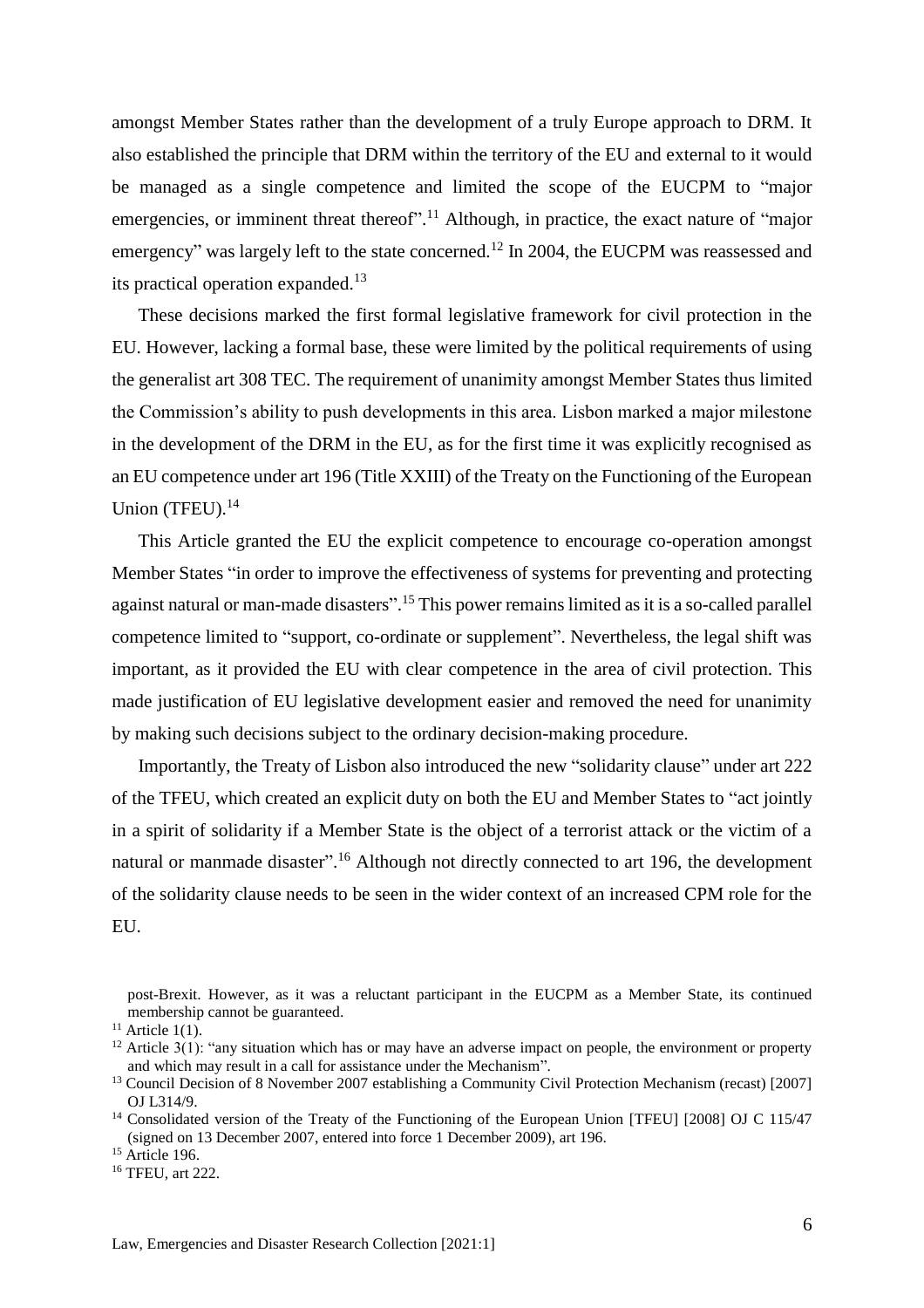amongst Member States rather than the development of a truly Europe approach to DRM. It also established the principle that DRM within the territory of the EU and external to it would be managed as a single competence and limited the scope of the EUCPM to "major emergencies, or imminent threat thereof".<sup>11</sup> Although, in practice, the exact nature of "major emergency" was largely left to the state concerned.<sup>12</sup> In 2004, the EUCPM was reassessed and its practical operation expanded.<sup>13</sup>

These decisions marked the first formal legislative framework for civil protection in the EU. However, lacking a formal base, these were limited by the political requirements of using the generalist art 308 TEC. The requirement of unanimity amongst Member States thus limited the Commission's ability to push developments in this area. Lisbon marked a major milestone in the development of the DRM in the EU, as for the first time it was explicitly recognised as an EU competence under art 196 (Title XXIII) of the Treaty on the Functioning of the European Union (TFEU).<sup>14</sup>

This Article granted the EU the explicit competence to encourage co-operation amongst Member States "in order to improve the effectiveness of systems for preventing and protecting against natural or man-made disasters".<sup>15</sup> This power remains limited as it is a so-called parallel competence limited to "support, co-ordinate or supplement". Nevertheless, the legal shift was important, as it provided the EU with clear competence in the area of civil protection. This made justification of EU legislative development easier and removed the need for unanimity by making such decisions subject to the ordinary decision-making procedure.

Importantly, the Treaty of Lisbon also introduced the new "solidarity clause" under art 222 of the TFEU, which created an explicit duty on both the EU and Member States to "act jointly in a spirit of solidarity if a Member State is the object of a terrorist attack or the victim of a natural or manmade disaster".<sup>16</sup> Although not directly connected to art 196, the development of the solidarity clause needs to be seen in the wider context of an increased CPM role for the EU.

<sup>16</sup> TFEU, art 222.

post-Brexit. However, as it was a reluctant participant in the EUCPM as a Member State, its continued membership cannot be guaranteed.

 $11$  Article 1(1).

 $12$  Article 3(1): "any situation which has or may have an adverse impact on people, the environment or property and which may result in a call for assistance under the Mechanism".

<sup>&</sup>lt;sup>13</sup> Council Decision of 8 November 2007 establishing a Community Civil Protection Mechanism (recast) [2007] OJ L314/9.

<sup>&</sup>lt;sup>14</sup> Consolidated version of the Treaty of the Functioning of the European Union [TFEU] [2008] OJ C 115/47 (signed on 13 December 2007, entered into force 1 December 2009), art 196.

<sup>&</sup>lt;sup>15</sup> Article 196.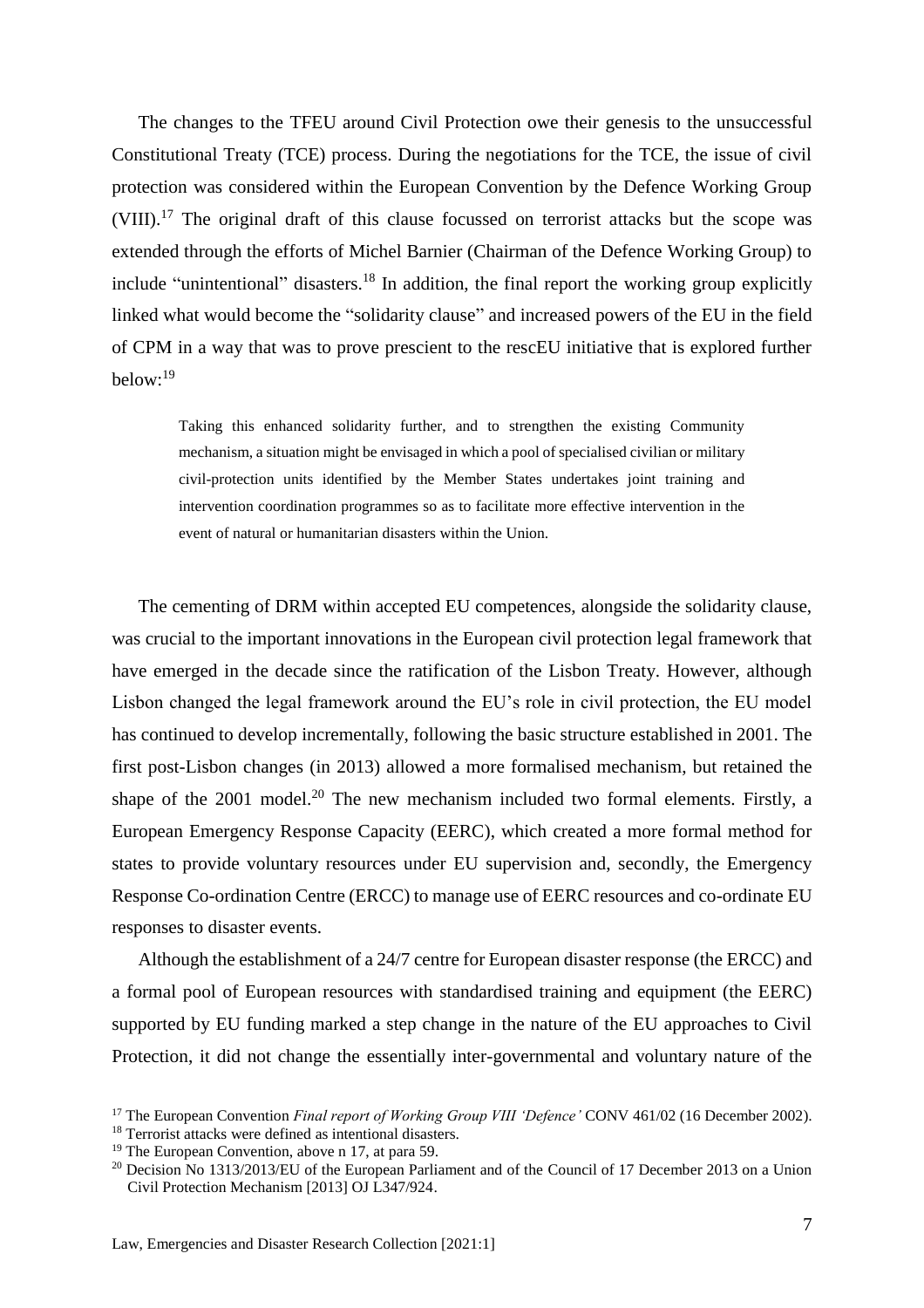The changes to the TFEU around Civil Protection owe their genesis to the unsuccessful Constitutional Treaty (TCE) process. During the negotiations for the TCE, the issue of civil protection was considered within the European Convention by the Defence Working Group (VIII).<sup>17</sup> The original draft of this clause focussed on terrorist attacks but the scope was extended through the efforts of Michel Barnier (Chairman of the Defence Working Group) to include "unintentional" disasters.<sup>18</sup> In addition, the final report the working group explicitly linked what would become the "solidarity clause" and increased powers of the EU in the field of CPM in a way that was to prove prescient to the rescEU initiative that is explored further below:<sup>19</sup>

Taking this enhanced solidarity further, and to strengthen the existing Community mechanism, a situation might be envisaged in which a pool of specialised civilian or military civil-protection units identified by the Member States undertakes joint training and intervention coordination programmes so as to facilitate more effective intervention in the event of natural or humanitarian disasters within the Union.

The cementing of DRM within accepted EU competences, alongside the solidarity clause, was crucial to the important innovations in the European civil protection legal framework that have emerged in the decade since the ratification of the Lisbon Treaty. However, although Lisbon changed the legal framework around the EU's role in civil protection, the EU model has continued to develop incrementally, following the basic structure established in 2001. The first post-Lisbon changes (in 2013) allowed a more formalised mechanism, but retained the shape of the  $2001$  model.<sup>20</sup> The new mechanism included two formal elements. Firstly, a European Emergency Response Capacity (EERC), which created a more formal method for states to provide voluntary resources under EU supervision and, secondly, the Emergency Response Co-ordination Centre (ERCC) to manage use of EERC resources and co-ordinate EU responses to disaster events.

Although the establishment of a 24/7 centre for European disaster response (the ERCC) and a formal pool of European resources with standardised training and equipment (the EERC) supported by EU funding marked a step change in the nature of the EU approaches to Civil Protection, it did not change the essentially inter-governmental and voluntary nature of the

<sup>17</sup> The European Convention *Final report of Working Group VIII 'Defence'* CONV 461/02 (16 December 2002).

<sup>&</sup>lt;sup>18</sup> Terrorist attacks were defined as intentional disasters.

<sup>19</sup> The European Convention, above n 17, at para 59.

<sup>&</sup>lt;sup>20</sup> Decision No 1313/2013/EU of the European Parliament and of the Council of 17 December 2013 on a Union Civil Protection Mechanism [2013] OJ L347/924.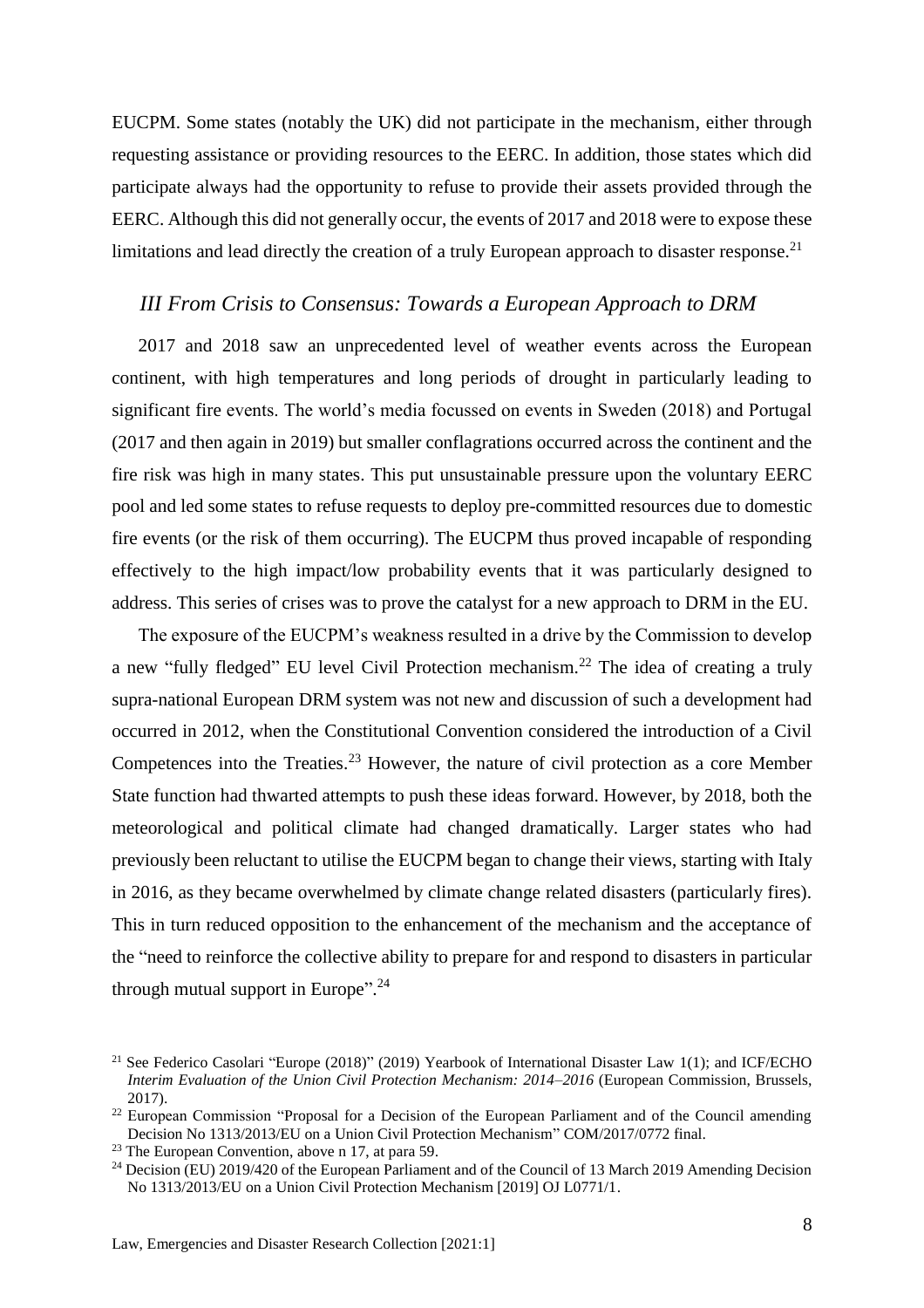EUCPM. Some states (notably the UK) did not participate in the mechanism, either through requesting assistance or providing resources to the EERC. In addition, those states which did participate always had the opportunity to refuse to provide their assets provided through the EERC. Although this did not generally occur, the events of 2017 and 2018 were to expose these limitations and lead directly the creation of a truly European approach to disaster response.<sup>21</sup>

#### <span id="page-7-0"></span>*III From Crisis to Consensus: Towards a European Approach to DRM*

2017 and 2018 saw an unprecedented level of weather events across the European continent, with high temperatures and long periods of drought in particularly leading to significant fire events. The world's media focussed on events in Sweden (2018) and Portugal (2017 and then again in 2019) but smaller conflagrations occurred across the continent and the fire risk was high in many states. This put unsustainable pressure upon the voluntary EERC pool and led some states to refuse requests to deploy pre-committed resources due to domestic fire events (or the risk of them occurring). The EUCPM thus proved incapable of responding effectively to the high impact/low probability events that it was particularly designed to address. This series of crises was to prove the catalyst for a new approach to DRM in the EU.

The exposure of the EUCPM's weakness resulted in a drive by the Commission to develop a new "fully fledged" EU level Civil Protection mechanism.<sup>22</sup> The idea of creating a truly supra-national European DRM system was not new and discussion of such a development had occurred in 2012, when the Constitutional Convention considered the introduction of a Civil Competences into the Treaties.<sup>23</sup> However, the nature of civil protection as a core Member State function had thwarted attempts to push these ideas forward. However, by 2018, both the meteorological and political climate had changed dramatically. Larger states who had previously been reluctant to utilise the EUCPM began to change their views, starting with Italy in 2016, as they became overwhelmed by climate change related disasters (particularly fires). This in turn reduced opposition to the enhancement of the mechanism and the acceptance of the "need to reinforce the collective ability to prepare for and respond to disasters in particular through mutual support in Europe".<sup>24</sup>

<sup>&</sup>lt;sup>21</sup> See Federico Casolari "Europe (2018)" (2019) Yearbook of International Disaster Law 1(1); and ICF/ECHO *Interim Evaluation of the Union Civil Protection Mechanism: 2014–2016* (European Commission, Brussels, 2017).

<sup>&</sup>lt;sup>22</sup> European Commission "Proposal for a Decision of the European Parliament and of the Council amending Decision No 1313/2013/EU on a Union Civil Protection Mechanism" COM/2017/0772 final.

<sup>23</sup> The European Convention, above n 17, at para 59.

<sup>&</sup>lt;sup>24</sup> Decision (EU) 2019/420 of the European Parliament and of the Council of 13 March 2019 Amending Decision No 1313/2013/EU on a Union Civil Protection Mechanism [2019] OJ L0771/1.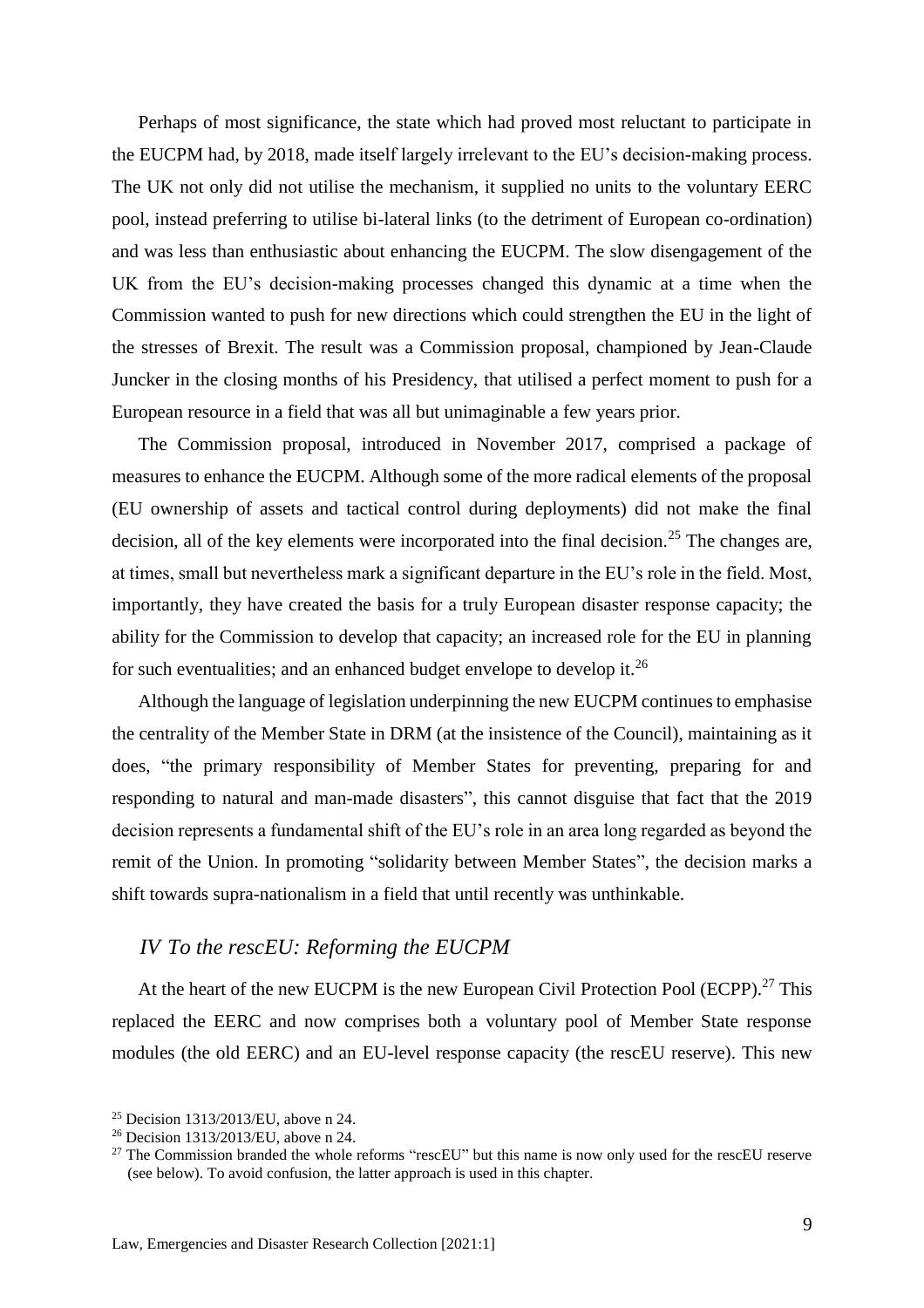Perhaps of most significance, the state which had proved most reluctant to participate in the EUCPM had, by 2018, made itself largely irrelevant to the EU's decision-making process. The UK not only did not utilise the mechanism, it supplied no units to the voluntary EERC pool, instead preferring to utilise bi-lateral links (to the detriment of European co-ordination) and was less than enthusiastic about enhancing the EUCPM. The slow disengagement of the UK from the EU's decision-making processes changed this dynamic at a time when the Commission wanted to push for new directions which could strengthen the EU in the light of the stresses of Brexit. The result was a Commission proposal, championed by Jean-Claude Juncker in the closing months of his Presidency, that utilised a perfect moment to push for a European resource in a field that was all but unimaginable a few years prior.

The Commission proposal, introduced in November 2017, comprised a package of measures to enhance the EUCPM. Although some of the more radical elements of the proposal (EU ownership of assets and tactical control during deployments) did not make the final decision, all of the key elements were incorporated into the final decision.<sup>25</sup> The changes are, at times, small but nevertheless mark a significant departure in the EU's role in the field. Most, importantly, they have created the basis for a truly European disaster response capacity; the ability for the Commission to develop that capacity; an increased role for the EU in planning for such eventualities; and an enhanced budget envelope to develop it.<sup>26</sup>

Although the language of legislation underpinning the new EUCPM continues to emphasise the centrality of the Member State in DRM (at the insistence of the Council), maintaining as it does, "the primary responsibility of Member States for preventing, preparing for and responding to natural and man-made disasters", this cannot disguise that fact that the 2019 decision represents a fundamental shift of the EU's role in an area long regarded as beyond the remit of the Union. In promoting "solidarity between Member States", the decision marks a shift towards supra-nationalism in a field that until recently was unthinkable.

#### <span id="page-8-0"></span>*IV To the rescEU: Reforming the EUCPM*

At the heart of the new EUCPM is the new European Civil Protection Pool (ECPP).<sup>27</sup> This replaced the EERC and now comprises both a voluntary pool of Member State response modules (the old EERC) and an EU-level response capacity (the rescEU reserve). This new

<sup>25</sup> Decision 1313/2013/EU, above n 24.

<sup>26</sup> Decision 1313/2013/EU, above n 24.

<sup>&</sup>lt;sup>27</sup> The Commission branded the whole reforms "rescEU" but this name is now only used for the rescEU reserve (see below). To avoid confusion, the latter approach is used in this chapter.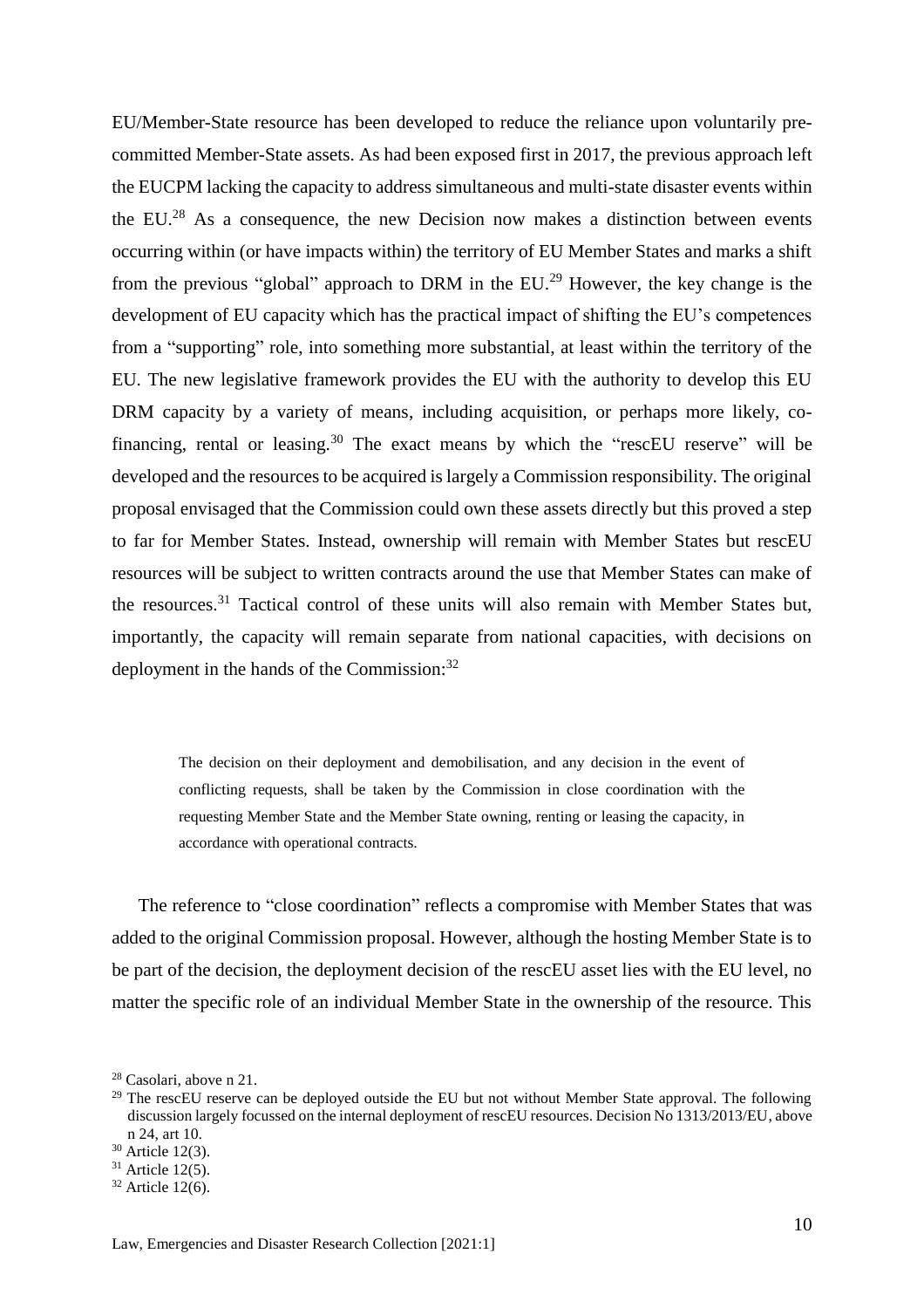EU/Member-State resource has been developed to reduce the reliance upon voluntarily precommitted Member-State assets. As had been exposed first in 2017, the previous approach left the EUCPM lacking the capacity to address simultaneous and multi-state disaster events within the EU.<sup>28</sup> As a consequence, the new Decision now makes a distinction between events occurring within (or have impacts within) the territory of EU Member States and marks a shift from the previous "global" approach to DRM in the  $EU^{29}$  However, the key change is the development of EU capacity which has the practical impact of shifting the EU's competences from a "supporting" role, into something more substantial, at least within the territory of the EU. The new legislative framework provides the EU with the authority to develop this EU DRM capacity by a variety of means, including acquisition, or perhaps more likely, cofinancing, rental or leasing.<sup>30</sup> The exact means by which the "rescEU reserve" will be developed and the resources to be acquired is largely a Commission responsibility. The original proposal envisaged that the Commission could own these assets directly but this proved a step to far for Member States. Instead, ownership will remain with Member States but rescEU resources will be subject to written contracts around the use that Member States can make of the resources.<sup>31</sup> Tactical control of these units will also remain with Member States but, importantly, the capacity will remain separate from national capacities, with decisions on deployment in the hands of the Commission:<sup>32</sup>

The decision on their deployment and demobilisation, and any decision in the event of conflicting requests, shall be taken by the Commission in close coordination with the requesting Member State and the Member State owning, renting or leasing the capacity, in accordance with operational contracts.

The reference to "close coordination" reflects a compromise with Member States that was added to the original Commission proposal. However, although the hosting Member State is to be part of the decision, the deployment decision of the rescEU asset lies with the EU level, no matter the specific role of an individual Member State in the ownership of the resource. This

<sup>28</sup> Casolari, above n 21.

 $29$  The rescEU reserve can be deployed outside the EU but not without Member State approval. The following discussion largely focussed on the internal deployment of rescEU resources. Decision No 1313/2013/EU, above n 24, art 10.

<sup>30</sup> Article 12(3).

 $31$  Article 12(5).

 $32$  Article 12(6).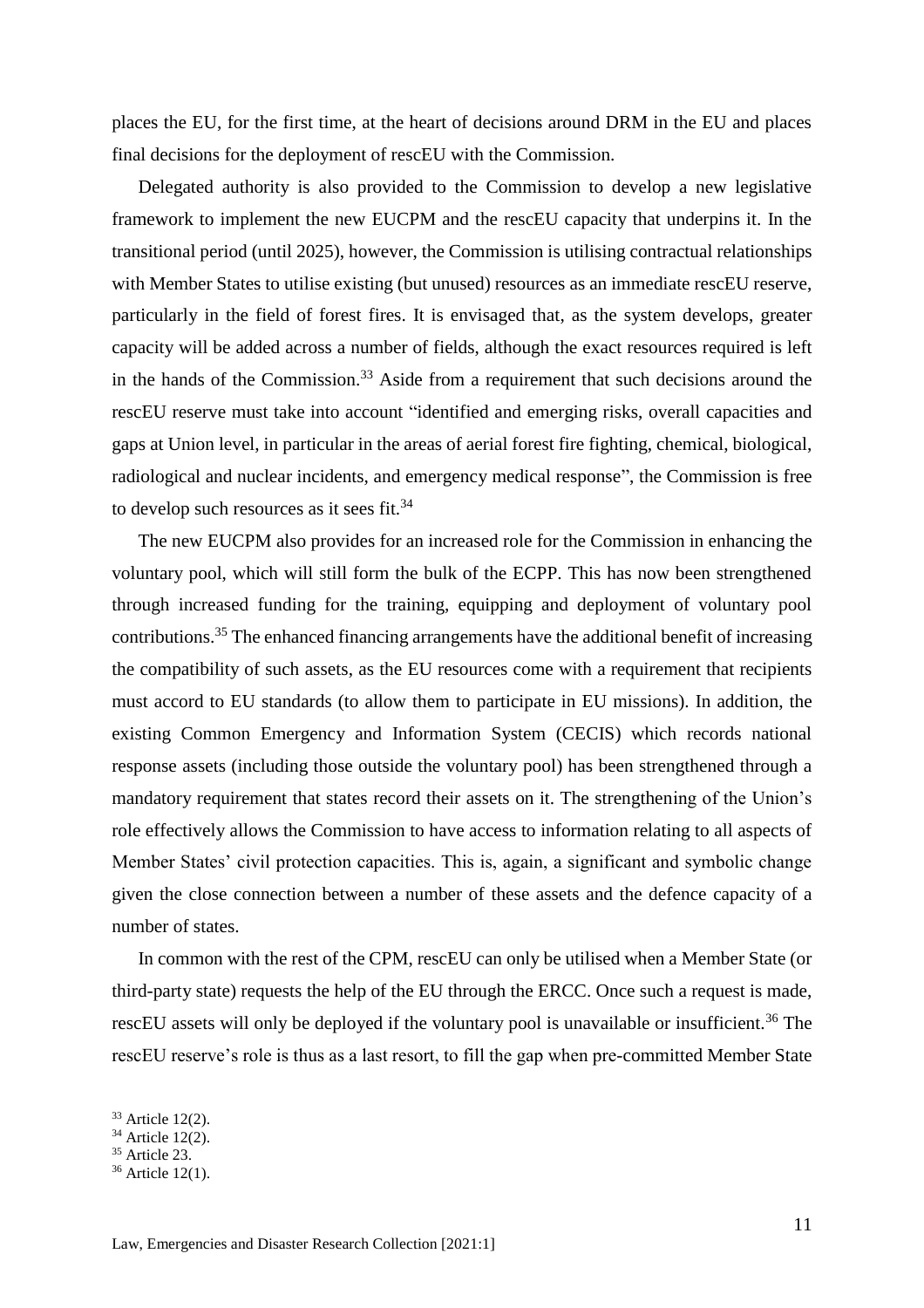places the EU, for the first time, at the heart of decisions around DRM in the EU and places final decisions for the deployment of rescEU with the Commission.

Delegated authority is also provided to the Commission to develop a new legislative framework to implement the new EUCPM and the rescEU capacity that underpins it. In the transitional period (until 2025), however, the Commission is utilising contractual relationships with Member States to utilise existing (but unused) resources as an immediate rescEU reserve, particularly in the field of forest fires. It is envisaged that, as the system develops, greater capacity will be added across a number of fields, although the exact resources required is left in the hands of the Commission.<sup>33</sup> Aside from a requirement that such decisions around the rescEU reserve must take into account "identified and emerging risks, overall capacities and gaps at Union level, in particular in the areas of aerial forest fire fighting, chemical, biological, radiological and nuclear incidents, and emergency medical response", the Commission is free to develop such resources as it sees fit.<sup>34</sup>

The new EUCPM also provides for an increased role for the Commission in enhancing the voluntary pool, which will still form the bulk of the ECPP. This has now been strengthened through increased funding for the training, equipping and deployment of voluntary pool contributions.<sup>35</sup> The enhanced financing arrangements have the additional benefit of increasing the compatibility of such assets, as the EU resources come with a requirement that recipients must accord to EU standards (to allow them to participate in EU missions). In addition, the existing Common Emergency and Information System (CECIS) which records national response assets (including those outside the voluntary pool) has been strengthened through a mandatory requirement that states record their assets on it. The strengthening of the Union's role effectively allows the Commission to have access to information relating to all aspects of Member States' civil protection capacities. This is, again, a significant and symbolic change given the close connection between a number of these assets and the defence capacity of a number of states.

In common with the rest of the CPM, rescEU can only be utilised when a Member State (or third-party state) requests the help of the EU through the ERCC. Once such a request is made, rescEU assets will only be deployed if the voluntary pool is unavailable or insufficient.<sup>36</sup> The rescEU reserve's role is thus as a last resort, to fill the gap when pre-committed Member State

<sup>33</sup> Article 12(2).

<sup>34</sup> Article 12(2).

 $35$  Article 23.

<sup>36</sup> Article 12(1).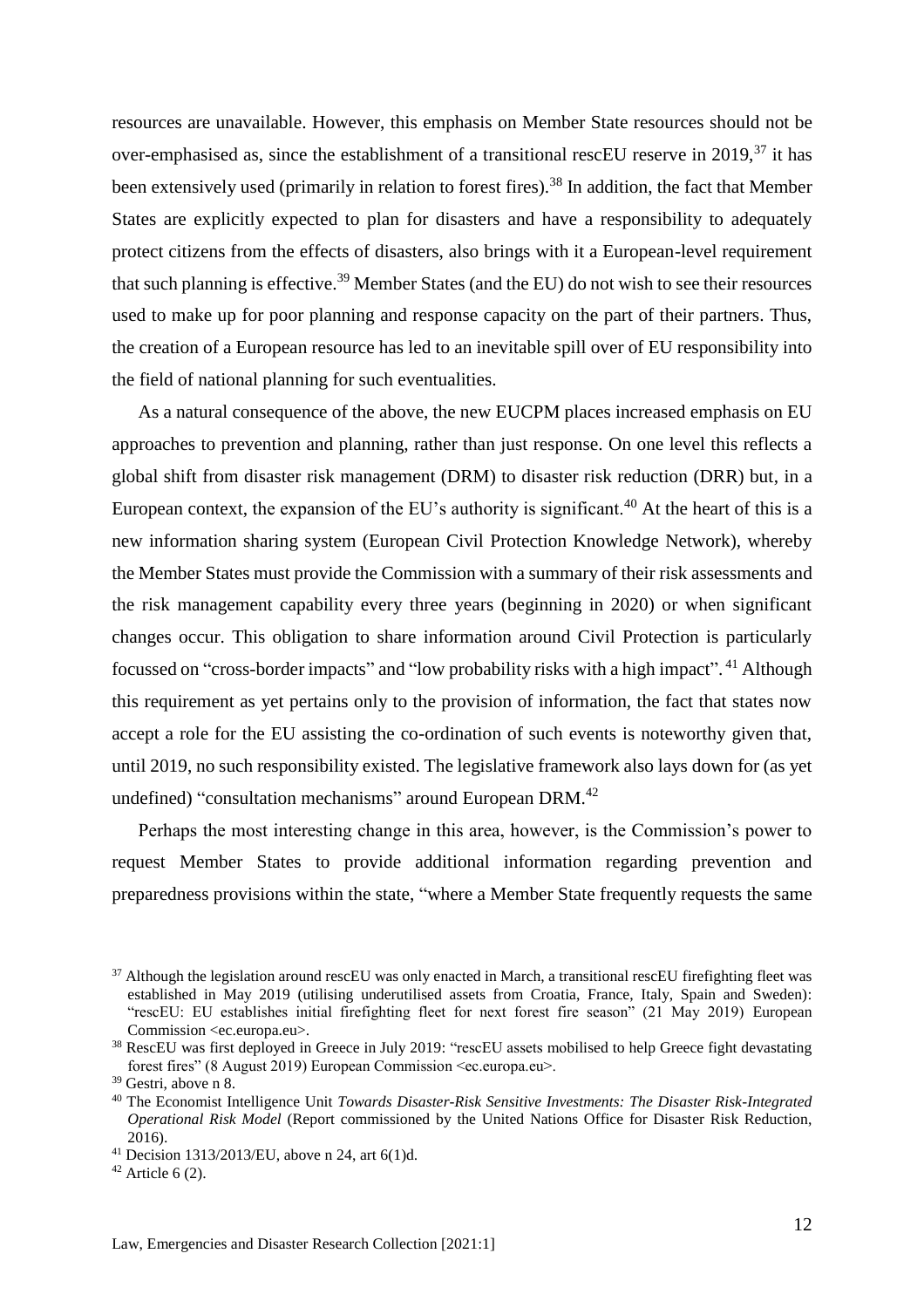resources are unavailable. However, this emphasis on Member State resources should not be over-emphasised as, since the establishment of a transitional rescEU reserve in 2019, $^{37}$  it has been extensively used (primarily in relation to forest fires).<sup>38</sup> In addition, the fact that Member States are explicitly expected to plan for disasters and have a responsibility to adequately protect citizens from the effects of disasters, also brings with it a European-level requirement that such planning is effective.<sup>39</sup> Member States (and the EU) do not wish to see their resources used to make up for poor planning and response capacity on the part of their partners. Thus, the creation of a European resource has led to an inevitable spill over of EU responsibility into the field of national planning for such eventualities.

As a natural consequence of the above, the new EUCPM places increased emphasis on EU approaches to prevention and planning, rather than just response. On one level this reflects a global shift from disaster risk management (DRM) to disaster risk reduction (DRR) but, in a European context, the expansion of the EU's authority is significant.<sup>40</sup> At the heart of this is a new information sharing system (European Civil Protection Knowledge Network), whereby the Member States must provide the Commission with a summary of their risk assessments and the risk management capability every three years (beginning in 2020) or when significant changes occur. This obligation to share information around Civil Protection is particularly focussed on "cross-border impacts" and "low probability risks with a high impact". <sup>41</sup> Although this requirement as yet pertains only to the provision of information, the fact that states now accept a role for the EU assisting the co-ordination of such events is noteworthy given that, until 2019, no such responsibility existed. The legislative framework also lays down for (as yet undefined) "consultation mechanisms" around European DRM.<sup>42</sup>

Perhaps the most interesting change in this area, however, is the Commission's power to request Member States to provide additional information regarding prevention and preparedness provisions within the state, "where a Member State frequently requests the same

<sup>&</sup>lt;sup>37</sup> Although the legislation around rescEU was only enacted in March, a transitional rescEU firefighting fleet was established in May 2019 (utilising underutilised assets from Croatia, France, Italy, Spain and Sweden): "rescEU: EU establishes initial firefighting fleet for next forest fire season" (21 May 2019) European Commission <ec.europa.eu>.

<sup>&</sup>lt;sup>38</sup> RescEU was first deployed in Greece in July 2019: "rescEU assets mobilised to help Greece fight devastating forest fires" (8 August 2019) European Commission <ec.europa.eu>.

<sup>39</sup> Gestri, above n [8.](#page-4-1)

<sup>40</sup> The Economist Intelligence Unit *Towards Disaster-Risk Sensitive Investments: The Disaster Risk-Integrated Operational Risk Model* (Report commissioned by the United Nations Office for Disaster Risk Reduction, 2016).

<sup>41</sup> Decision 1313/2013/EU, above n 24, art 6(1)d.

 $42$  Article 6 (2).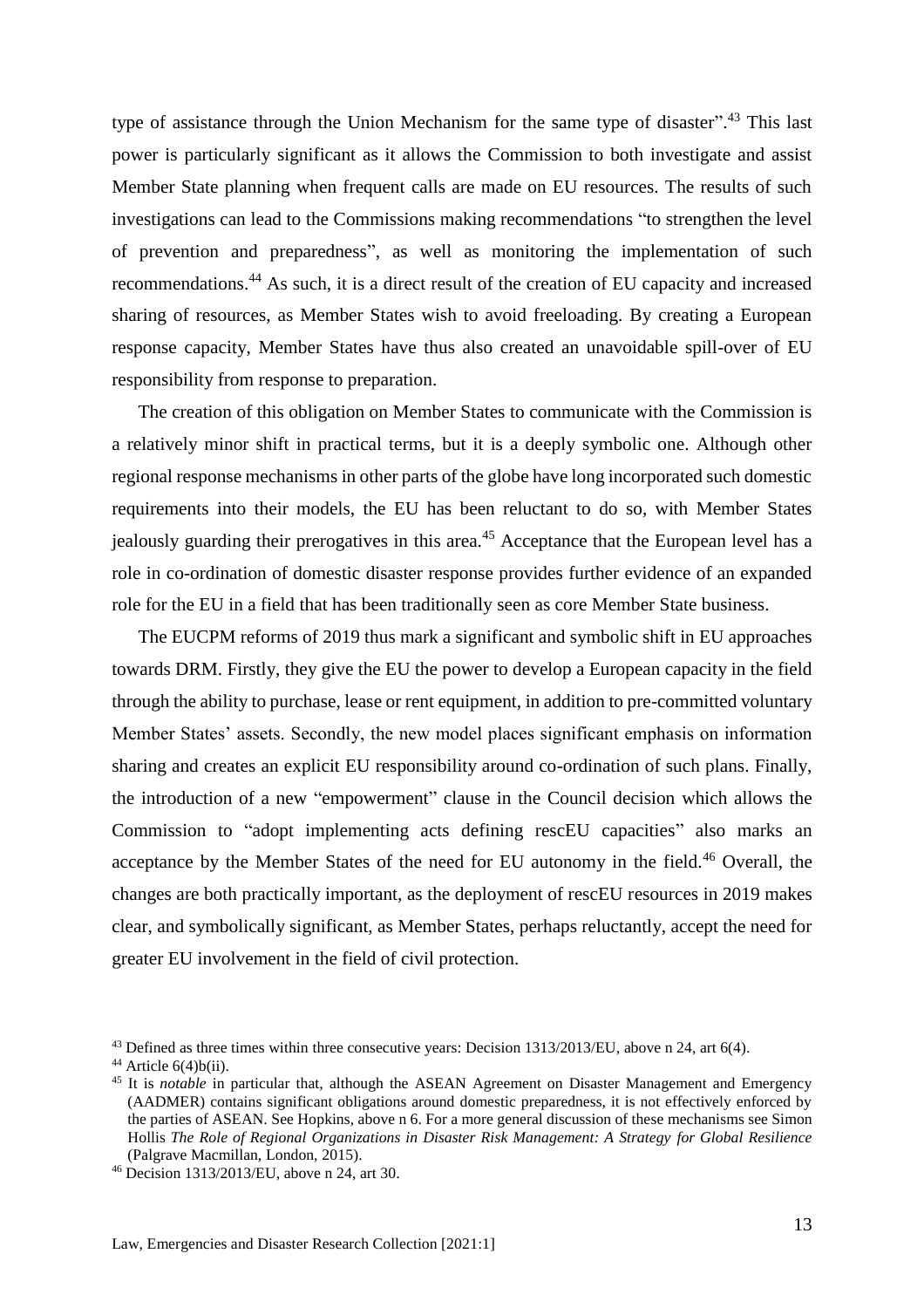type of assistance through the Union Mechanism for the same type of disaster".<sup>43</sup> This last power is particularly significant as it allows the Commission to both investigate and assist Member State planning when frequent calls are made on EU resources. The results of such investigations can lead to the Commissions making recommendations "to strengthen the level of prevention and preparedness", as well as monitoring the implementation of such recommendations.<sup>44</sup> As such, it is a direct result of the creation of EU capacity and increased sharing of resources, as Member States wish to avoid freeloading. By creating a European response capacity, Member States have thus also created an unavoidable spill-over of EU responsibility from response to preparation.

The creation of this obligation on Member States to communicate with the Commission is a relatively minor shift in practical terms, but it is a deeply symbolic one. Although other regional response mechanisms in other parts of the globe have long incorporated such domestic requirements into their models, the EU has been reluctant to do so, with Member States jealously guarding their prerogatives in this area.<sup>45</sup> Acceptance that the European level has a role in co-ordination of domestic disaster response provides further evidence of an expanded role for the EU in a field that has been traditionally seen as core Member State business.

The EUCPM reforms of 2019 thus mark a significant and symbolic shift in EU approaches towards DRM. Firstly, they give the EU the power to develop a European capacity in the field through the ability to purchase, lease or rent equipment, in addition to pre-committed voluntary Member States' assets. Secondly, the new model places significant emphasis on information sharing and creates an explicit EU responsibility around co-ordination of such plans. Finally, the introduction of a new "empowerment" clause in the Council decision which allows the Commission to "adopt implementing acts defining rescEU capacities" also marks an acceptance by the Member States of the need for EU autonomy in the field.<sup>46</sup> Overall, the changes are both practically important, as the deployment of rescEU resources in 2019 makes clear, and symbolically significant, as Member States, perhaps reluctantly, accept the need for greater EU involvement in the field of civil protection.

<sup>43</sup> Defined as three times within three consecutive years: Decision 1313/2013/EU, above n 24, art 6(4).

 $44$  Article  $6(4)$ b(ii).

<sup>&</sup>lt;sup>45</sup> It is *notable* in particular that, although the ASEAN Agreement on Disaster Management and Emergency (AADMER) contains significant obligations around domestic preparedness, it is not effectively enforced by the parties of ASEAN. See Hopkins, above n 6. For a more general discussion of these mechanisms see Simon Hollis *The Role of Regional Organizations in Disaster Risk Management: A Strategy for Global Resilience* (Palgrave Macmillan, London, 2015).

<sup>46</sup> Decision 1313/2013/EU, above n 24, art 30.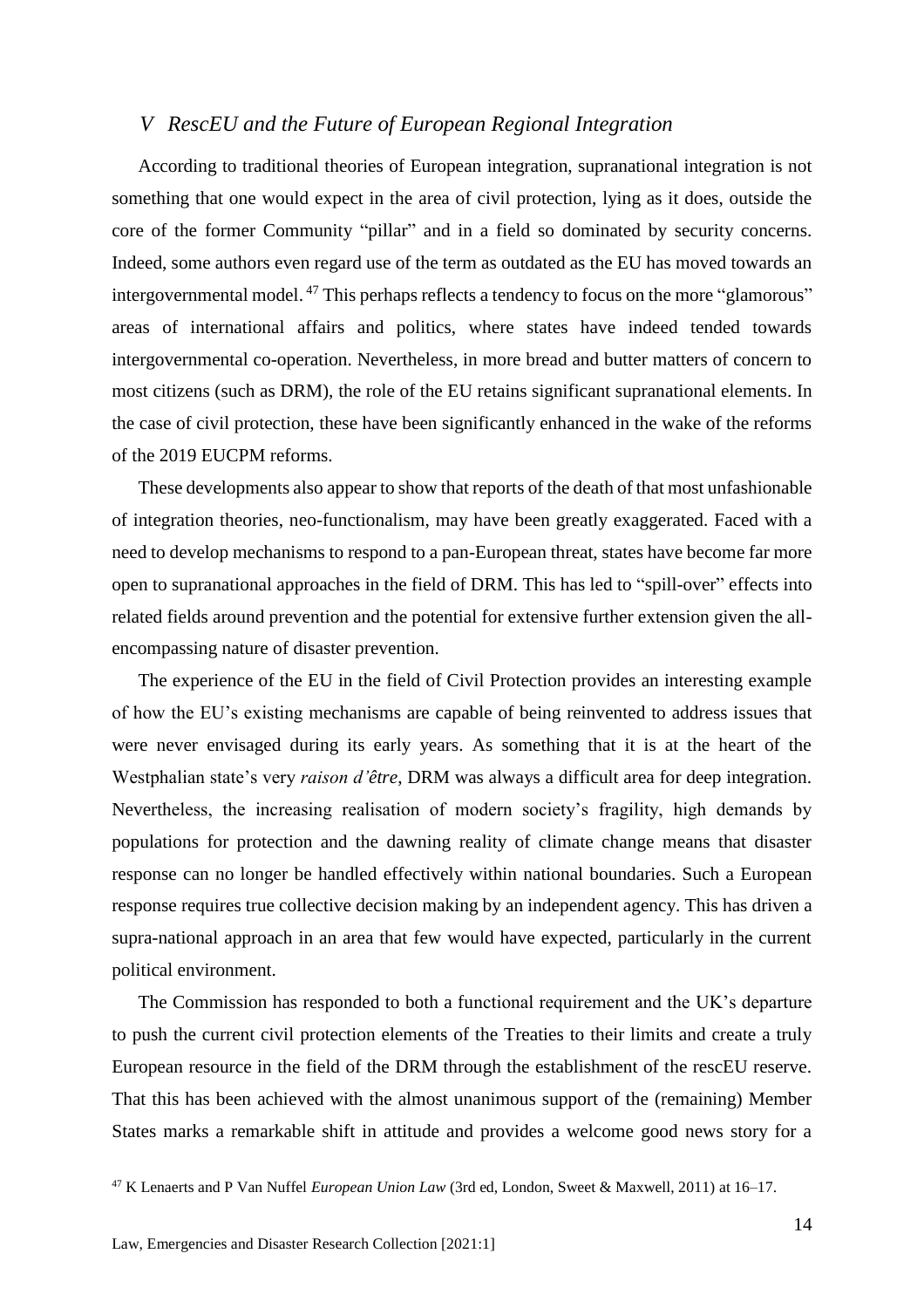#### <span id="page-13-0"></span>*V RescEU and the Future of European Regional Integration*

According to traditional theories of European integration, supranational integration is not something that one would expect in the area of civil protection, lying as it does, outside the core of the former Community "pillar" and in a field so dominated by security concerns. Indeed, some authors even regard use of the term as outdated as the EU has moved towards an intergovernmental model. <sup>47</sup> This perhaps reflects a tendency to focus on the more "glamorous" areas of international affairs and politics, where states have indeed tended towards intergovernmental co-operation. Nevertheless, in more bread and butter matters of concern to most citizens (such as DRM), the role of the EU retains significant supranational elements. In the case of civil protection, these have been significantly enhanced in the wake of the reforms of the 2019 EUCPM reforms.

These developments also appear to show that reports of the death of that most unfashionable of integration theories, neo-functionalism, may have been greatly exaggerated. Faced with a need to develop mechanisms to respond to a pan-European threat, states have become far more open to supranational approaches in the field of DRM. This has led to "spill-over" effects into related fields around prevention and the potential for extensive further extension given the allencompassing nature of disaster prevention.

The experience of the EU in the field of Civil Protection provides an interesting example of how the EU's existing mechanisms are capable of being reinvented to address issues that were never envisaged during its early years. As something that it is at the heart of the Westphalian state's very *raison d'être*, DRM was always a difficult area for deep integration. Nevertheless, the increasing realisation of modern society's fragility, high demands by populations for protection and the dawning reality of climate change means that disaster response can no longer be handled effectively within national boundaries. Such a European response requires true collective decision making by an independent agency. This has driven a supra-national approach in an area that few would have expected, particularly in the current political environment.

The Commission has responded to both a functional requirement and the UK's departure to push the current civil protection elements of the Treaties to their limits and create a truly European resource in the field of the DRM through the establishment of the rescEU reserve. That this has been achieved with the almost unanimous support of the (remaining) Member States marks a remarkable shift in attitude and provides a welcome good news story for a

<sup>47</sup> K Lenaerts and P Van Nuffel *European Union Law* (3rd ed, London, Sweet & Maxwell, 2011) at 16–17.